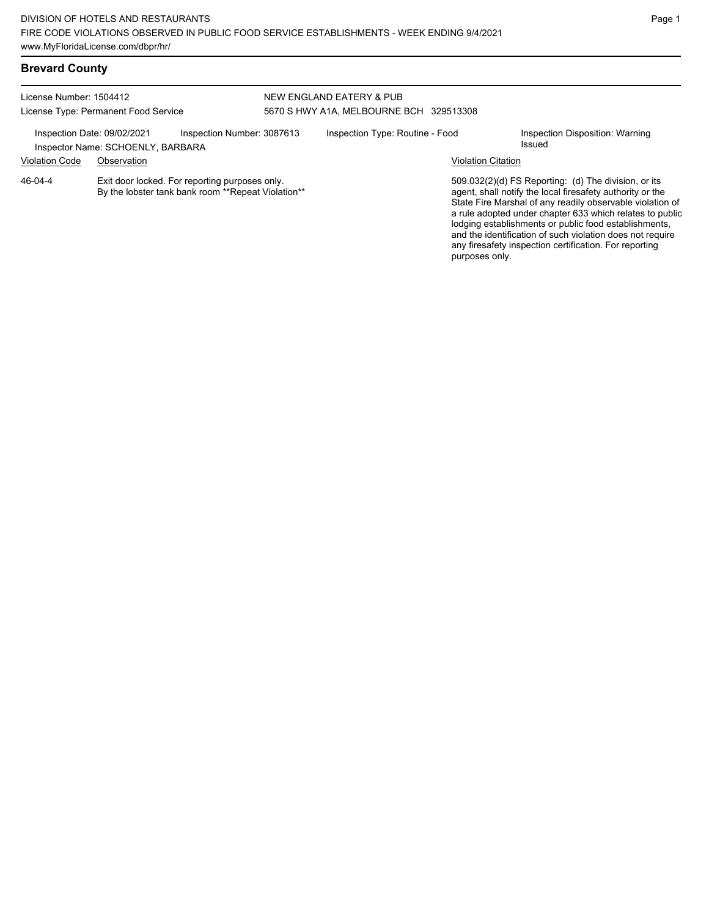#### License Number: 1504412 License Type: Permanent Food Service NEW ENGLAND EATERY & PUB 5670 S HWY A1A, MELBOURNE BCH 329513308 Inspection Date: 09/02/2021 Inspection Number: 3087613 Inspection Type: Routine - Food Inspection Disposition: Warning<br>Inspector Name: SCHOENLY BARRARA Inspector Name: SCHOENLY, BARBARA Violation Code Observation Violation Citation Exit door locked. For reporting purposes only. By the lobster tank bank room \*\*Repeat Violation\*\* 509.032(2)(d) FS Reporting: (d) The division, or its agent, shall notify the local firesafety authority or the State Fire Marshal of any readily observable violation of a rule adopted under chapter 633 which relates to public lodging establishments or public food establishments, and the identification of such violation does not require any firesafety inspection certification. For reporting purposes only. 46-04-4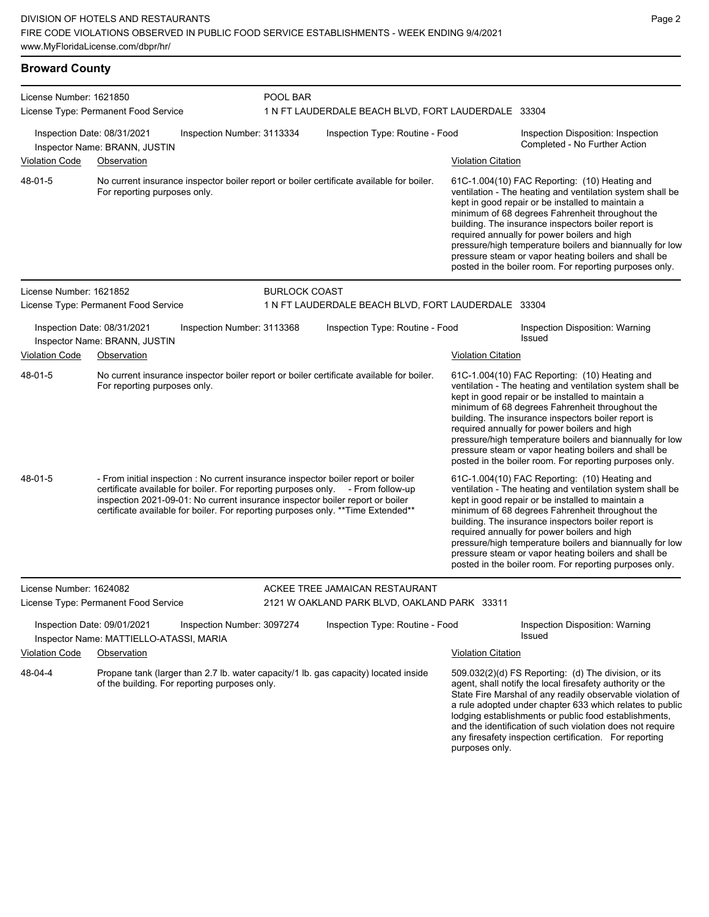#### **Broward County**

| License Number: 1621850 |                                                                                                                                                                                                                                                                                                                                             | POOL BAR             |                                                     |                           |                                                                                                                                                                                                                                                                                                                                                                                                                                                                                                          |  |
|-------------------------|---------------------------------------------------------------------------------------------------------------------------------------------------------------------------------------------------------------------------------------------------------------------------------------------------------------------------------------------|----------------------|-----------------------------------------------------|---------------------------|----------------------------------------------------------------------------------------------------------------------------------------------------------------------------------------------------------------------------------------------------------------------------------------------------------------------------------------------------------------------------------------------------------------------------------------------------------------------------------------------------------|--|
|                         | License Type: Permanent Food Service                                                                                                                                                                                                                                                                                                        |                      | 1 N FT LAUDERDALE BEACH BLVD, FORT LAUDERDALE 33304 |                           |                                                                                                                                                                                                                                                                                                                                                                                                                                                                                                          |  |
|                         | Inspection Date: 08/31/2021<br>Inspection Number: 3113334<br>Inspector Name: BRANN, JUSTIN                                                                                                                                                                                                                                                  |                      | Inspection Type: Routine - Food                     |                           | Inspection Disposition: Inspection<br>Completed - No Further Action                                                                                                                                                                                                                                                                                                                                                                                                                                      |  |
| <b>Violation Code</b>   | Observation                                                                                                                                                                                                                                                                                                                                 |                      |                                                     | <b>Violation Citation</b> |                                                                                                                                                                                                                                                                                                                                                                                                                                                                                                          |  |
| 48-01-5                 | No current insurance inspector boiler report or boiler certificate available for boiler.<br>For reporting purposes only.                                                                                                                                                                                                                    |                      |                                                     |                           | 61C-1.004(10) FAC Reporting: (10) Heating and<br>ventilation - The heating and ventilation system shall be<br>kept in good repair or be installed to maintain a<br>minimum of 68 degrees Fahrenheit throughout the<br>building. The insurance inspectors boiler report is<br>required annually for power boilers and high<br>pressure/high temperature boilers and biannually for low<br>pressure steam or vapor heating boilers and shall be<br>posted in the boiler room. For reporting purposes only. |  |
| License Number: 1621852 |                                                                                                                                                                                                                                                                                                                                             | <b>BURLOCK COAST</b> |                                                     |                           |                                                                                                                                                                                                                                                                                                                                                                                                                                                                                                          |  |
|                         | License Type: Permanent Food Service                                                                                                                                                                                                                                                                                                        |                      | 1 N FT LAUDERDALE BEACH BLVD, FORT LAUDERDALE 33304 |                           |                                                                                                                                                                                                                                                                                                                                                                                                                                                                                                          |  |
|                         | Inspection Date: 08/31/2021<br>Inspection Number: 3113368<br>Inspector Name: BRANN, JUSTIN                                                                                                                                                                                                                                                  |                      | Inspection Type: Routine - Food                     |                           | Inspection Disposition: Warning<br>Issued                                                                                                                                                                                                                                                                                                                                                                                                                                                                |  |
| <b>Violation Code</b>   | Observation                                                                                                                                                                                                                                                                                                                                 |                      |                                                     | <b>Violation Citation</b> |                                                                                                                                                                                                                                                                                                                                                                                                                                                                                                          |  |
| 48-01-5                 | No current insurance inspector boiler report or boiler certificate available for boiler.<br>For reporting purposes only.                                                                                                                                                                                                                    |                      |                                                     |                           | 61C-1.004(10) FAC Reporting: (10) Heating and<br>ventilation - The heating and ventilation system shall be<br>kept in good repair or be installed to maintain a<br>minimum of 68 degrees Fahrenheit throughout the<br>building. The insurance inspectors boiler report is<br>required annually for power boilers and high<br>pressure/high temperature boilers and biannually for low<br>pressure steam or vapor heating boilers and shall be<br>posted in the boiler room. For reporting purposes only. |  |
| 48-01-5                 | - From initial inspection : No current insurance inspector boiler report or boiler<br>certificate available for boiler. For reporting purposes only. - From follow-up<br>inspection 2021-09-01: No current insurance inspector boiler report or boiler<br>certificate available for boiler. For reporting purposes only. ** Time Extended** |                      |                                                     |                           | 61C-1.004(10) FAC Reporting: (10) Heating and<br>ventilation - The heating and ventilation system shall be<br>kept in good repair or be installed to maintain a<br>minimum of 68 degrees Fahrenheit throughout the<br>building. The insurance inspectors boiler report is<br>required annually for power boilers and high<br>pressure/high temperature boilers and biannually for low<br>pressure steam or vapor heating boilers and shall be<br>posted in the boiler room. For reporting purposes only. |  |
| License Number: 1624082 |                                                                                                                                                                                                                                                                                                                                             |                      | ACKEE TREE JAMAICAN RESTAURANT                      |                           |                                                                                                                                                                                                                                                                                                                                                                                                                                                                                                          |  |
|                         | License Type: Permanent Food Service                                                                                                                                                                                                                                                                                                        |                      | 2121 W OAKLAND PARK BLVD, OAKLAND PARK 33311        |                           |                                                                                                                                                                                                                                                                                                                                                                                                                                                                                                          |  |
|                         | Inspection Date: 09/01/2021<br>Inspection Number: 3097274<br>Inspector Name: MATTIELLO-ATASSI, MARIA                                                                                                                                                                                                                                        |                      | Inspection Type: Routine - Food                     |                           | Inspection Disposition: Warning<br>Issued                                                                                                                                                                                                                                                                                                                                                                                                                                                                |  |
| <b>Violation Code</b>   | Observation                                                                                                                                                                                                                                                                                                                                 |                      |                                                     | <b>Violation Citation</b> |                                                                                                                                                                                                                                                                                                                                                                                                                                                                                                          |  |
| 48-04-4                 | Propane tank (larger than 2.7 lb. water capacity/1 lb. gas capacity) located inside<br>of the building. For reporting purposes only.                                                                                                                                                                                                        |                      |                                                     |                           | 509.032(2)(d) FS Reporting: (d) The division, or its<br>agent, shall notify the local firesafety authority or the<br>State Fire Marshal of any readily observable violation of<br>a rule adopted under chapter 633 which relates to public                                                                                                                                                                                                                                                               |  |

Page 2

lodging establishments or public food establishments, and the identification of such violation does not require any firesafety inspection certification. For reporting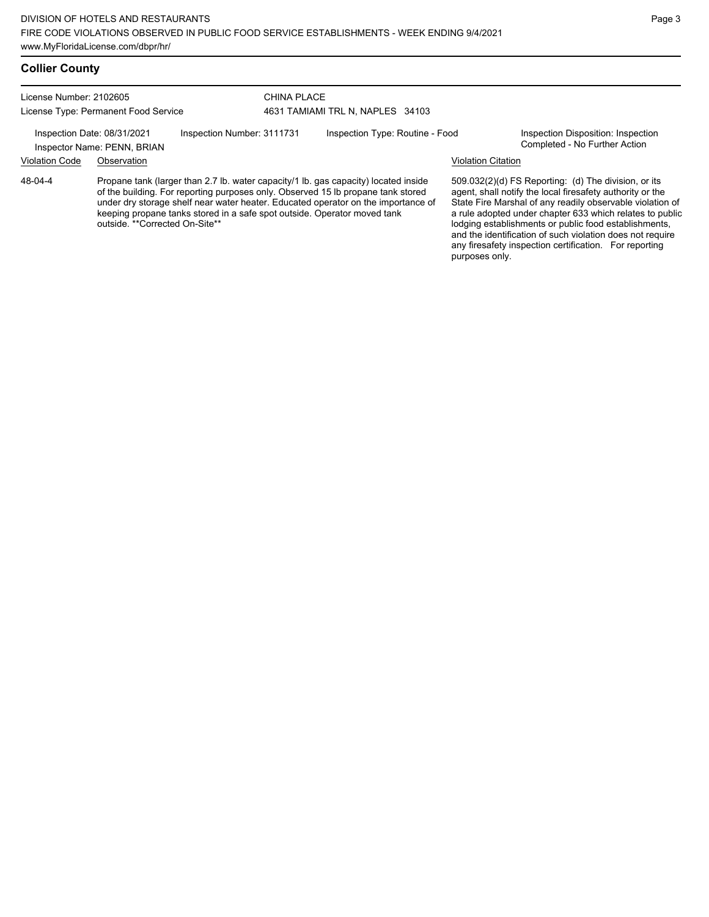#### **Collier County**

License Number: 2102605 License Type: Permanent Food Service

#### CHINA PLACE 4631 TAMIAMI TRL N, NAPLES 34103

Inspection Date: 08/31/2021 Inspection Number: 3111731 Inspection Type: Routine - Food Inspection Disposition: Inspection<br>Inspector Name: PENN BRIAN

Inspector Name: PENN, BRIAN

#### Violation Code Observation Violation Citation

Propane tank (larger than 2.7 lb. water capacity/1 lb. gas capacity) located inside of the building. For reporting purposes only. Observed 15 lb propane tank stored under dry storage shelf near water heater. Educated operator on the importance of keeping propane tanks stored in a safe spot outside. Operator moved tank outside. \*\*Corrected On-Site\*\* 48-04-4

509.032(2)(d) FS Reporting: (d) The division, or its agent, shall notify the local firesafety authority or the State Fire Marshal of any readily observable violation of a rule adopted under chapter 633 which relates to public lodging establishments or public food establishments, and the identification of such violation does not require any firesafety inspection certification. For reporting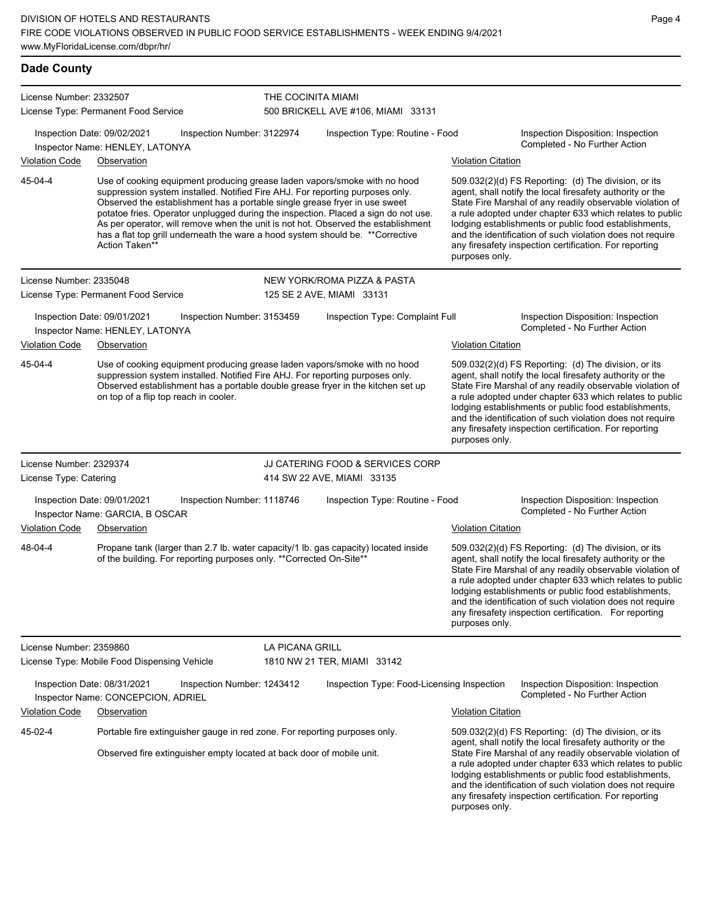| <b>Dade County</b>      |                                                                                                                                                                                                                                                                                                                                                                                                                                                                                                                          |                            |                                            |                           |                                                                                                                                                                                                                                                                                                                                                                                                                            |
|-------------------------|--------------------------------------------------------------------------------------------------------------------------------------------------------------------------------------------------------------------------------------------------------------------------------------------------------------------------------------------------------------------------------------------------------------------------------------------------------------------------------------------------------------------------|----------------------------|--------------------------------------------|---------------------------|----------------------------------------------------------------------------------------------------------------------------------------------------------------------------------------------------------------------------------------------------------------------------------------------------------------------------------------------------------------------------------------------------------------------------|
| License Number: 2332507 | License Type: Permanent Food Service                                                                                                                                                                                                                                                                                                                                                                                                                                                                                     | THE COCINITA MIAMI         | 500 BRICKELL AVE #106, MIAMI 33131         |                           |                                                                                                                                                                                                                                                                                                                                                                                                                            |
|                         | Inspection Date: 09/02/2021<br>Inspector Name: HENLEY, LATONYA                                                                                                                                                                                                                                                                                                                                                                                                                                                           | Inspection Number: 3122974 | Inspection Type: Routine - Food            |                           | Inspection Disposition: Inspection<br>Completed - No Further Action                                                                                                                                                                                                                                                                                                                                                        |
| <b>Violation Code</b>   | Observation                                                                                                                                                                                                                                                                                                                                                                                                                                                                                                              |                            |                                            | <b>Violation Citation</b> |                                                                                                                                                                                                                                                                                                                                                                                                                            |
| 45-04-4                 | Use of cooking equipment producing grease laden vapors/smoke with no hood<br>suppression system installed. Notified Fire AHJ. For reporting purposes only.<br>Observed the establishment has a portable single grease fryer in use sweet<br>potatoe fries. Operator unplugged during the inspection. Placed a sign do not use.<br>As per operator, will remove when the unit is not hot. Observed the establishment<br>has a flat top grill underneath the ware a hood system should be. ** Corrective<br>Action Taken** |                            |                                            | purposes only.            | 509.032(2)(d) FS Reporting: (d) The division, or its<br>agent, shall notify the local firesafety authority or the<br>State Fire Marshal of any readily observable violation of<br>a rule adopted under chapter 633 which relates to public<br>lodging establishments or public food establishments,<br>and the identification of such violation does not require<br>any firesafety inspection certification. For reporting |
| License Number: 2335048 |                                                                                                                                                                                                                                                                                                                                                                                                                                                                                                                          |                            | NEW YORK/ROMA PIZZA & PASTA                |                           |                                                                                                                                                                                                                                                                                                                                                                                                                            |
|                         | License Type: Permanent Food Service                                                                                                                                                                                                                                                                                                                                                                                                                                                                                     |                            | 125 SE 2 AVE, MIAMI 33131                  |                           |                                                                                                                                                                                                                                                                                                                                                                                                                            |
|                         | Inspection Date: 09/01/2021<br>Inspector Name: HENLEY, LATONYA                                                                                                                                                                                                                                                                                                                                                                                                                                                           | Inspection Number: 3153459 | Inspection Type: Complaint Full            |                           | Inspection Disposition: Inspection<br>Completed - No Further Action                                                                                                                                                                                                                                                                                                                                                        |
| <b>Violation Code</b>   | Observation                                                                                                                                                                                                                                                                                                                                                                                                                                                                                                              |                            |                                            | <b>Violation Citation</b> |                                                                                                                                                                                                                                                                                                                                                                                                                            |
| 45-04-4                 | Use of cooking equipment producing grease laden vapors/smoke with no hood<br>suppression system installed. Notified Fire AHJ. For reporting purposes only.<br>Observed establishment has a portable double grease fryer in the kitchen set up<br>on top of a flip top reach in cooler.                                                                                                                                                                                                                                   |                            |                                            | purposes only.            | 509.032(2)(d) FS Reporting: (d) The division, or its<br>agent, shall notify the local firesafety authority or the<br>State Fire Marshal of any readily observable violation of<br>a rule adopted under chapter 633 which relates to public<br>lodging establishments or public food establishments,<br>and the identification of such violation does not require<br>any firesafety inspection certification. For reporting |
| License Number: 2329374 |                                                                                                                                                                                                                                                                                                                                                                                                                                                                                                                          |                            | JJ CATERING FOOD & SERVICES CORP           |                           |                                                                                                                                                                                                                                                                                                                                                                                                                            |
| License Type: Catering  |                                                                                                                                                                                                                                                                                                                                                                                                                                                                                                                          |                            | 414 SW 22 AVE, MIAMI 33135                 |                           |                                                                                                                                                                                                                                                                                                                                                                                                                            |
| <b>Violation Code</b>   | Inspection Date: 09/01/2021<br>Inspector Name: GARCIA, B OSCAR<br>Observation                                                                                                                                                                                                                                                                                                                                                                                                                                            | Inspection Number: 1118746 | Inspection Type: Routine - Food            | <b>Violation Citation</b> | Inspection Disposition: Inspection<br>Completed - No Further Action                                                                                                                                                                                                                                                                                                                                                        |
| 48-04-4                 | Propane tank (larger than 2.7 lb. water capacity/1 lb. gas capacity) located inside<br>of the building. For reporting purposes only. ** Corrected On-Site**                                                                                                                                                                                                                                                                                                                                                              |                            |                                            | purposes only.            | 509.032(2)(d) FS Reporting: (d) The division, or its<br>agent, shall notify the local firesafety authority or the<br>State Fire Marshal of any readily observable violation of<br>a rule adopted under chapter 633 which relates to public<br>lodging establishments or public food establishments,<br>and the identification of such violation does not require<br>any firesafety inspection certification. For reporting |
| License Number: 2359860 |                                                                                                                                                                                                                                                                                                                                                                                                                                                                                                                          | LA PICANA GRILL            |                                            |                           |                                                                                                                                                                                                                                                                                                                                                                                                                            |
|                         | License Type: Mobile Food Dispensing Vehicle                                                                                                                                                                                                                                                                                                                                                                                                                                                                             |                            | 1810 NW 21 TER, MIAMI 33142                |                           |                                                                                                                                                                                                                                                                                                                                                                                                                            |
|                         | Inspection Date: 08/31/2021<br>Inspector Name: CONCEPCION, ADRIEL                                                                                                                                                                                                                                                                                                                                                                                                                                                        | Inspection Number: 1243412 | Inspection Type: Food-Licensing Inspection |                           | Inspection Disposition: Inspection<br>Completed - No Further Action                                                                                                                                                                                                                                                                                                                                                        |
| <b>Violation Code</b>   | Observation                                                                                                                                                                                                                                                                                                                                                                                                                                                                                                              |                            |                                            | <b>Violation Citation</b> |                                                                                                                                                                                                                                                                                                                                                                                                                            |
| 45-02-4                 | Portable fire extinguisher gauge in red zone. For reporting purposes only.<br>Observed fire extinguisher empty located at back door of mobile unit.                                                                                                                                                                                                                                                                                                                                                                      |                            |                                            |                           | 509.032(2)(d) FS Reporting: (d) The division, or its<br>agent, shall notify the local firesafety authority or the<br>State Fire Marshal of any readily observable violation of<br>a rule adopted under chapter 633 which relates to public<br>lodging establishments or public food establishments,                                                                                                                        |

and the identification of such violation does not require any firesafety inspection certification. For reporting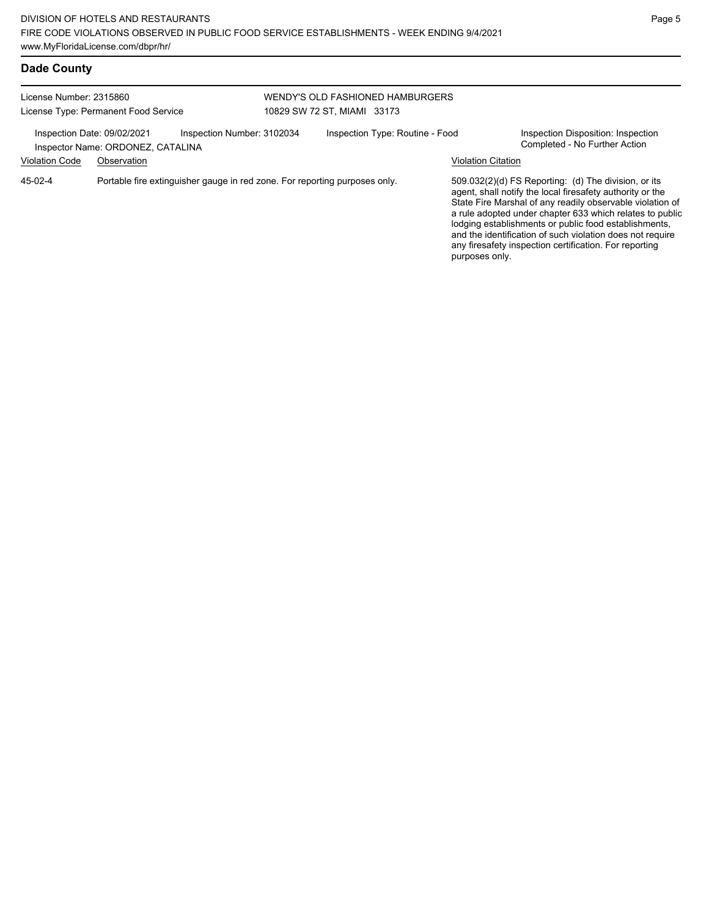| Dade County             |                                                                  |                                                                            |                             |                                  |                           |                                                                                                                                                                                                                                                                                                                                                                                                                            |
|-------------------------|------------------------------------------------------------------|----------------------------------------------------------------------------|-----------------------------|----------------------------------|---------------------------|----------------------------------------------------------------------------------------------------------------------------------------------------------------------------------------------------------------------------------------------------------------------------------------------------------------------------------------------------------------------------------------------------------------------------|
| License Number: 2315860 | License Type: Permanent Food Service                             |                                                                            | 10829 SW 72 ST. MIAMI 33173 | WENDY'S OLD FASHIONED HAMBURGERS |                           |                                                                                                                                                                                                                                                                                                                                                                                                                            |
|                         | Inspection Date: 09/02/2021<br>Inspector Name: ORDONEZ, CATALINA | Inspection Number: 3102034                                                 |                             | Inspection Type: Routine - Food  |                           | Inspection Disposition: Inspection<br>Completed - No Further Action                                                                                                                                                                                                                                                                                                                                                        |
| <b>Violation Code</b>   | Observation                                                      |                                                                            |                             |                                  | <b>Violation Citation</b> |                                                                                                                                                                                                                                                                                                                                                                                                                            |
| 45-02-4                 |                                                                  | Portable fire extinguisher gauge in red zone. For reporting purposes only. |                             |                                  | purposes only.            | 509.032(2)(d) FS Reporting: (d) The division, or its<br>agent, shall notify the local firesafety authority or the<br>State Fire Marshal of any readily observable violation of<br>a rule adopted under chapter 633 which relates to public<br>lodging establishments or public food establishments,<br>and the identification of such violation does not require<br>any firesafety inspection certification. For reporting |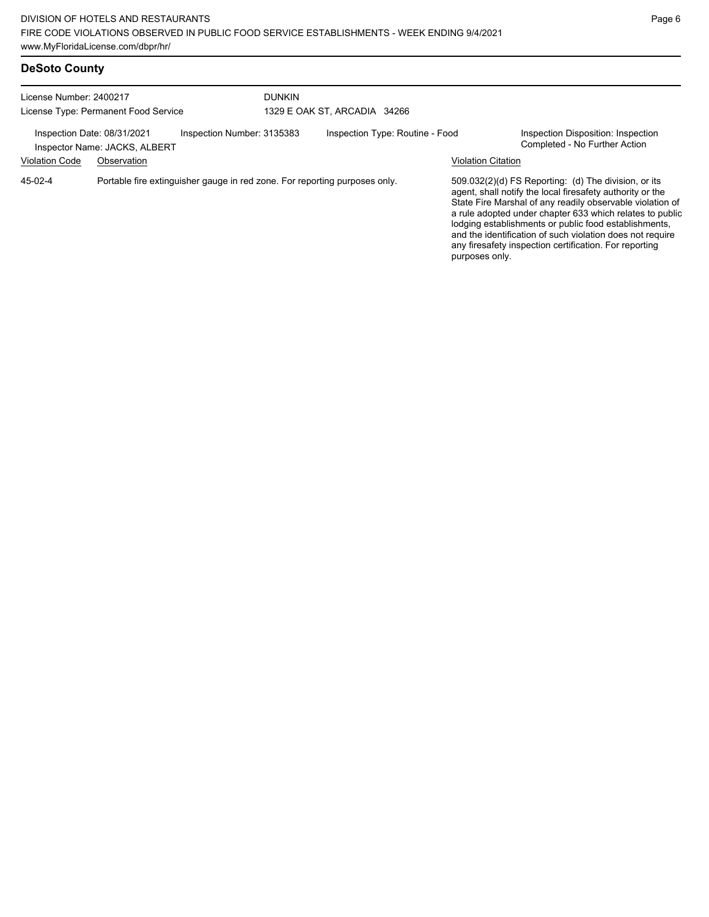| License Number: 2400217<br>License Type: Permanent Food Service                                                                 |                                                             | <b>DUNKIN</b><br>1329 E OAK ST, ARCADIA 34266 |                           |                                                                                                                                                                                                                                                                                                                                                                                                                            |
|---------------------------------------------------------------------------------------------------------------------------------|-------------------------------------------------------------|-----------------------------------------------|---------------------------|----------------------------------------------------------------------------------------------------------------------------------------------------------------------------------------------------------------------------------------------------------------------------------------------------------------------------------------------------------------------------------------------------------------------------|
| Inspection Date: 08/31/2021                                                                                                     | Inspection Number: 3135383<br>Inspector Name: JACKS, ALBERT | Inspection Type: Routine - Food               | <b>Violation Citation</b> | Inspection Disposition: Inspection<br>Completed - No Further Action                                                                                                                                                                                                                                                                                                                                                        |
| <b>Violation Code</b><br>Observation<br>Portable fire extinguisher gauge in red zone. For reporting purposes only.<br>$45-02-4$ |                                                             |                                               | purposes only.            | 509.032(2)(d) FS Reporting: (d) The division, or its<br>agent, shall notify the local firesafety authority or the<br>State Fire Marshal of any readily observable violation of<br>a rule adopted under chapter 633 which relates to public<br>lodging establishments or public food establishments,<br>and the identification of such violation does not require<br>any firesafety inspection certification. For reporting |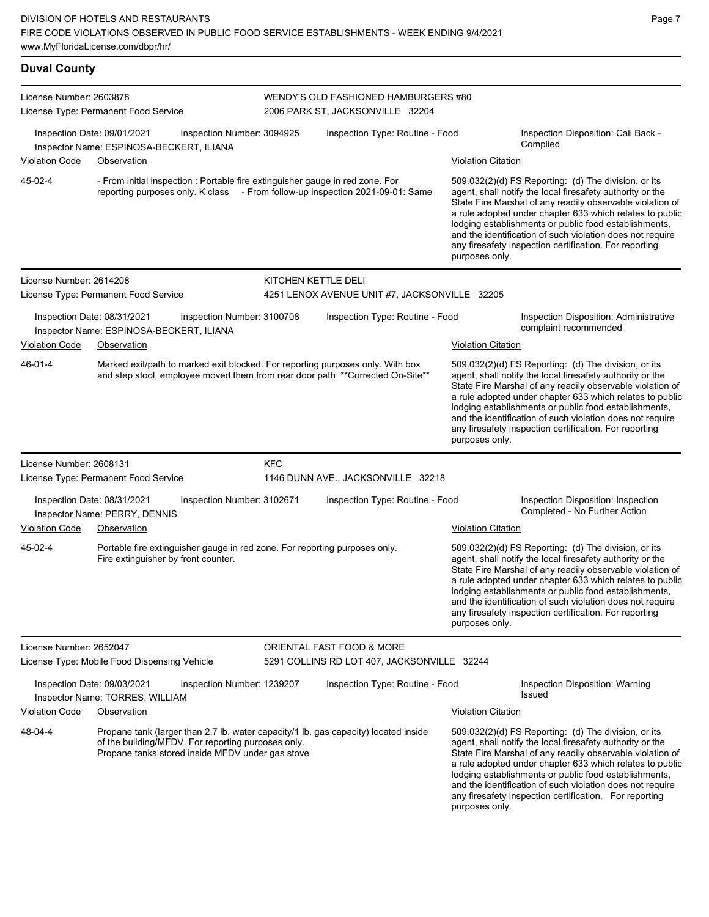**Duval County** License Number: 2603878 License Type: Permanent Food Service WENDY'S OLD FASHIONED HAMBURGERS #80 2006 PARK ST, JACKSONVILLE 32204 Inspection Date: 09/01/2021 Inspection Number: 3094925 Inspection Type: Routine - Food Inspection Disposition: Call Back -Complied Inspector Name: ESPINOSA-BECKERT, ILIANA Violation Code Observation Violation Citation - From initial inspection : Portable fire extinguisher gauge in red zone. For reporting purposes only. K class - From follow-up inspection 2021-09-01: Same 509.032(2)(d) FS Reporting: (d) The division, or its agent, shall notify the local firesafety authority or the State Fire Marshal of any readily observable violation of a rule adopted under chapter 633 which relates to public lodging establishments or public food establishments, and the identification of such violation does not require any firesafety inspection certification. For reporting purposes only. 45-02-4 License Number: 2614208 License Type: Permanent Food Service KITCHEN KETTLE DELI 4251 LENOX AVENUE UNIT #7, JACKSONVILLE 32205 Inspection Date: 08/31/2021 Inspection Number: 3100708 Inspection Type: Routine - Food Inspection Disposition: Administrative Inspector Name: ESPINOSA-BECKERT, ILIANA Violation Code Observation **Violation Citation** Violation Citation Citation Marked exit/path to marked exit blocked. For reporting purposes only. With box and step stool, employee moved them from rear door path \*\*Corrected On-Site\*\* 509.032(2)(d) FS Reporting: (d) The division, or its agent, shall notify the local firesafety authority or the State Fire Marshal of any readily observable violation of a rule adopted under chapter 633 which relates to public lodging establishments or public food establishments, and the identification of such violation does not require any firesafety inspection certification. For reporting purposes only. 46-01-4 License Number: 2608131 License Type: Permanent Food Service KFC 1146 DUNN AVE., JACKSONVILLE 32218 Inspection Date: 08/31/2021 Inspection Number: 3102671 Inspection Type: Routine - Food Inspection Disposition: Inspection<br>Inspector Name: PERRY DENNIS Inspector Name: PERRY, DENNIS Violation Code Observation Violation Citation Portable fire extinguisher gauge in red zone. For reporting purposes only. Fire extinguisher by front counter. 509.032(2)(d) FS Reporting: (d) The division, or its agent, shall notify the local firesafety authority or the State Fire Marshal of any readily observable violation of a rule adopted under chapter 633 which relates to public lodging establishments or public food establishments, and the identification of such violation does not require any firesafety inspection certification. For reporting purposes only. 45-02-4 License Number: 2652047 License Type: Mobile Food Dispensing Vehicle ORIENTAL FAST FOOD & MORE 5291 COLLINS RD LOT 407, JACKSONVILLE 32244 Inspection Date: 09/03/2021 Inspection Number: 1239207 Inspection Type: Routine - Food Inspection Disposition: Warning Issued Inspector Name: TORRES, WILLIAM Violation Code Observation Violation Citation Propane tank (larger than 2.7 lb. water capacity/1 lb. gas capacity) located inside of the building/MFDV. For reporting purposes only. Propane tanks stored inside MFDV under gas stove 509.032(2)(d) FS Reporting: (d) The division, or its agent, shall notify the local firesafety authority or the State Fire Marshal of any readily observable violation of 48-04-4

a rule adopted under chapter 633 which relates to public lodging establishments or public food establishments, and the identification of such violation does not require any firesafety inspection certification. For reporting purposes only.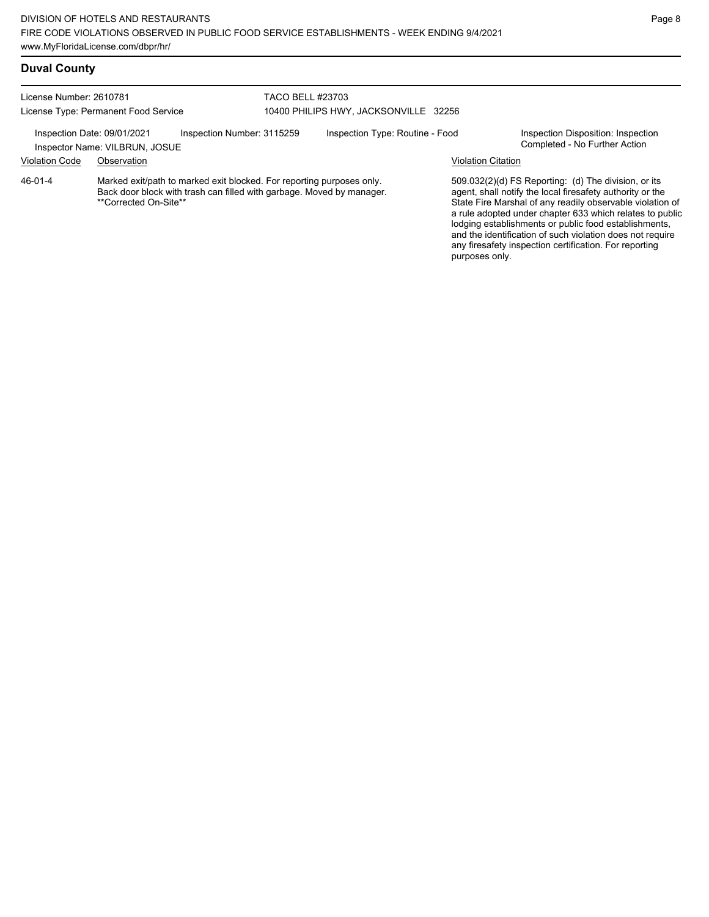| License Number: 2610781<br>License Type: Permanent Food Service                                                                                                                          |             | <b>TACO BELL #23703</b><br>10400 PHILIPS HWY, JACKSONVILLE 32256 |                                 |                                                                                                                                                                                                                                                                                                                                                                  |                                                                     |  |
|------------------------------------------------------------------------------------------------------------------------------------------------------------------------------------------|-------------|------------------------------------------------------------------|---------------------------------|------------------------------------------------------------------------------------------------------------------------------------------------------------------------------------------------------------------------------------------------------------------------------------------------------------------------------------------------------------------|---------------------------------------------------------------------|--|
| Inspection Date: 09/01/2021<br>Inspection Number: 3115259<br>Inspector Name: VILBRUN, JOSUE                                                                                              |             |                                                                  | Inspection Type: Routine - Food |                                                                                                                                                                                                                                                                                                                                                                  | Inspection Disposition: Inspection<br>Completed - No Further Action |  |
| <b>Violation Code</b>                                                                                                                                                                    | Observation |                                                                  |                                 |                                                                                                                                                                                                                                                                                                                                                                  | <b>Violation Citation</b>                                           |  |
| Marked exit/path to marked exit blocked. For reporting purposes only.<br>$46 - 01 - 4$<br>Back door block with trash can filled with garbage. Moved by manager.<br>**Corrected On-Site** |             |                                                                  |                                 | 509.032(2)(d) FS Reporting: (d) The division, or its<br>agent, shall notify the local firesafety authority or the<br>State Fire Marshal of any readily observable violation of<br>a rule adopted under chapter 633 which relates to public<br>lodging establishments or public food establishments,<br>and the identification of such violation does not require |                                                                     |  |

any firesafety inspection certification. For reporting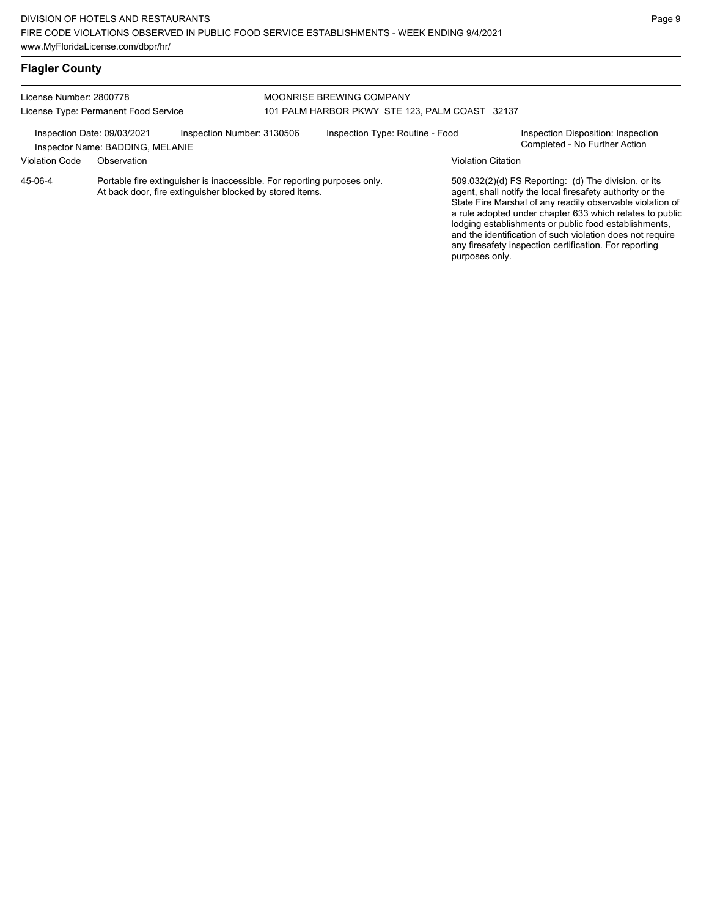| License Number: 2800778<br>License Type: Permanent Food Service                                                                                |                                  | MOONRISE BREWING COMPANY<br>101 PALM HARBOR PKWY STE 123, PALM COAST 32137 |  |                                 |                                                                                                                                                                                                                                                                                                                                                                                                                            |                                                                     |
|------------------------------------------------------------------------------------------------------------------------------------------------|----------------------------------|----------------------------------------------------------------------------|--|---------------------------------|----------------------------------------------------------------------------------------------------------------------------------------------------------------------------------------------------------------------------------------------------------------------------------------------------------------------------------------------------------------------------------------------------------------------------|---------------------------------------------------------------------|
| Inspection Date: 09/03/2021                                                                                                                    | Inspector Name: BADDING, MELANIE | Inspection Number: 3130506                                                 |  | Inspection Type: Routine - Food |                                                                                                                                                                                                                                                                                                                                                                                                                            | Inspection Disposition: Inspection<br>Completed - No Further Action |
| <b>Violation Code</b>                                                                                                                          | Observation                      |                                                                            |  |                                 | <b>Violation Citation</b>                                                                                                                                                                                                                                                                                                                                                                                                  |                                                                     |
| Portable fire extinguisher is inaccessible. For reporting purposes only<br>45-06-4<br>At back door, fire extinguisher blocked by stored items. |                                  |                                                                            |  | purposes only.                  | 509.032(2)(d) FS Reporting: (d) The division, or its<br>agent, shall notify the local firesafety authority or the<br>State Fire Marshal of any readily observable violation of<br>a rule adopted under chapter 633 which relates to public<br>lodging establishments or public food establishments,<br>and the identification of such violation does not require<br>any firesafety inspection certification. For reporting |                                                                     |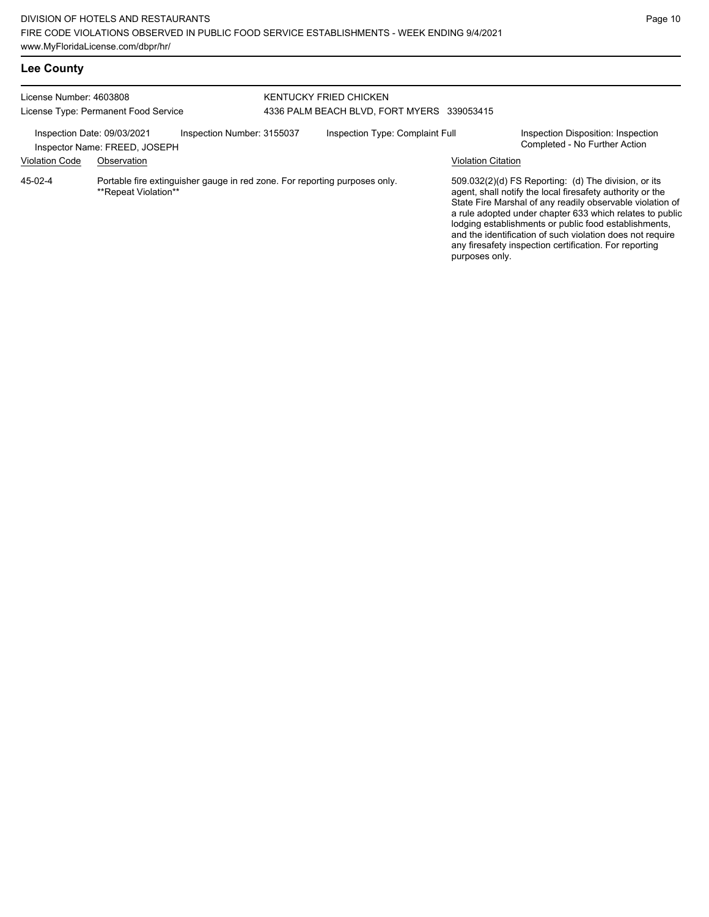## **Lee County**

| License Number: 4603808<br>License Type: Permanent Food Service |                               |                                                                            | KENTUCKY FRIED CHICKEN<br>4336 PALM BEACH BLVD, FORT MYERS 339053415 |                           |                                                                                                                                                                                                                                                                                                                                                                                                                            |
|-----------------------------------------------------------------|-------------------------------|----------------------------------------------------------------------------|----------------------------------------------------------------------|---------------------------|----------------------------------------------------------------------------------------------------------------------------------------------------------------------------------------------------------------------------------------------------------------------------------------------------------------------------------------------------------------------------------------------------------------------------|
| Inspection Date: 09/03/2021                                     | Inspector Name: FREED, JOSEPH | Inspection Number: 3155037                                                 | Inspection Type: Complaint Full                                      |                           | Inspection Disposition: Inspection<br>Completed - No Further Action                                                                                                                                                                                                                                                                                                                                                        |
| <b>Violation Code</b>                                           | Observation                   |                                                                            |                                                                      | <b>Violation Citation</b> |                                                                                                                                                                                                                                                                                                                                                                                                                            |
| 45-02-4                                                         | **Repeat Violation**          | Portable fire extinguisher gauge in red zone. For reporting purposes only. |                                                                      | purposes only.            | 509.032(2)(d) FS Reporting: (d) The division, or its<br>agent, shall notify the local firesafety authority or the<br>State Fire Marshal of any readily observable violation of<br>a rule adopted under chapter 633 which relates to public<br>lodging establishments or public food establishments,<br>and the identification of such violation does not require<br>any firesafety inspection certification. For reporting |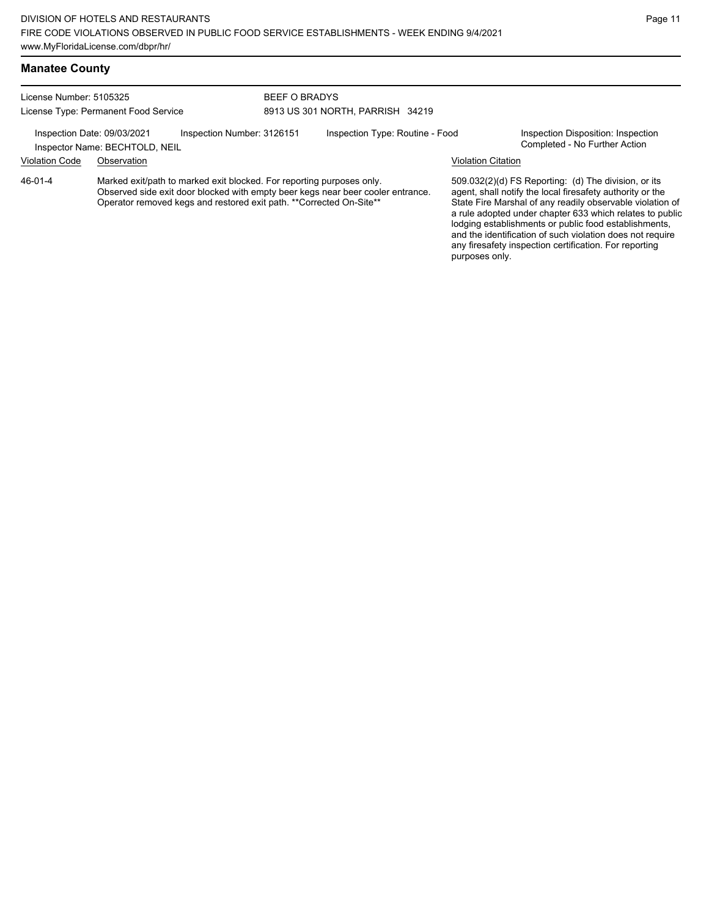## **Manatee County**

| License Number: 5105325              |                                                                                                                                               |                            | <b>BEEF O BRADYS</b>             |                                                                                 |                    |                                                                                                                                                                                                                                                                                                                                                                                                                            |  |
|--------------------------------------|-----------------------------------------------------------------------------------------------------------------------------------------------|----------------------------|----------------------------------|---------------------------------------------------------------------------------|--------------------|----------------------------------------------------------------------------------------------------------------------------------------------------------------------------------------------------------------------------------------------------------------------------------------------------------------------------------------------------------------------------------------------------------------------------|--|
| License Type: Permanent Food Service |                                                                                                                                               |                            | 8913 US 301 NORTH, PARRISH 34219 |                                                                                 |                    |                                                                                                                                                                                                                                                                                                                                                                                                                            |  |
|                                      | Inspection Date: 09/03/2021<br>Inspector Name: BECHTOLD, NEIL                                                                                 | Inspection Number: 3126151 |                                  | Inspection Type: Routine - Food                                                 |                    | Inspection Disposition: Inspection<br>Completed - No Further Action                                                                                                                                                                                                                                                                                                                                                        |  |
| <b>Violation Code</b>                | Observation                                                                                                                                   |                            |                                  |                                                                                 | Violation Citation |                                                                                                                                                                                                                                                                                                                                                                                                                            |  |
| 46-01-4                              | Marked exit/path to marked exit blocked. For reporting purposes only.<br>Operator removed kegs and restored exit path. ** Corrected On-Site** |                            |                                  | Observed side exit door blocked with empty beer kegs near beer cooler entrance. |                    | 509.032(2)(d) FS Reporting: (d) The division, or its<br>agent, shall notify the local firesafety authority or the<br>State Fire Marshal of any readily observable violation of<br>a rule adopted under chapter 633 which relates to public<br>lodging establishments or public food establishments,<br>and the identification of such violation does not require<br>any firesafety inspection certification. For reporting |  |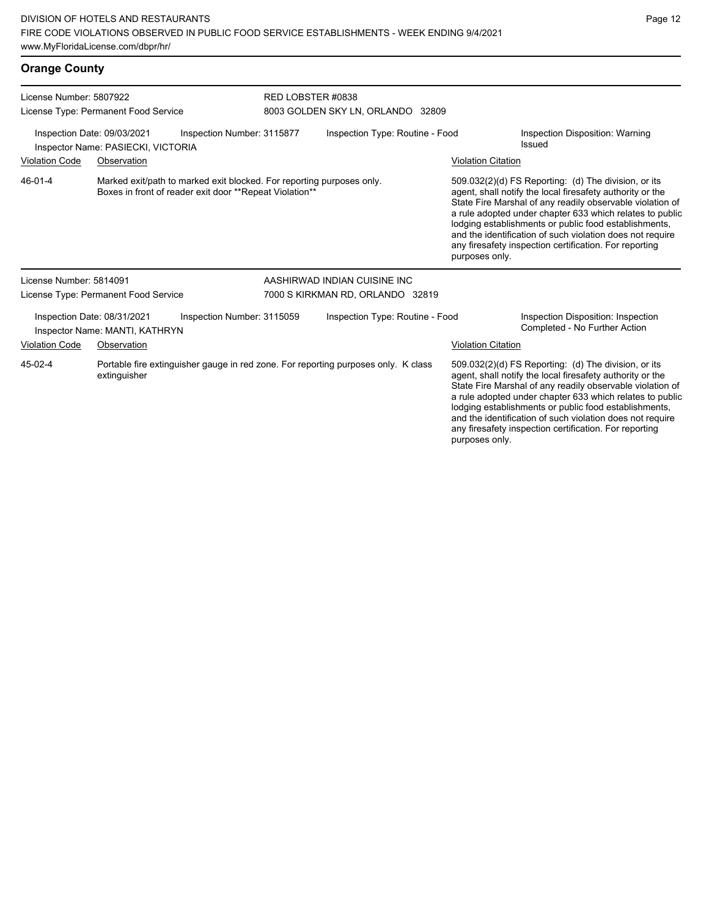| <b>Orange County</b>                                                                            |                                                               |                                                                                                                                  |                                   |                                                                                    |                                                                                                                                                                                                                                                                                                                                                                                                                                              |                                                                                                                   |
|-------------------------------------------------------------------------------------------------|---------------------------------------------------------------|----------------------------------------------------------------------------------------------------------------------------------|-----------------------------------|------------------------------------------------------------------------------------|----------------------------------------------------------------------------------------------------------------------------------------------------------------------------------------------------------------------------------------------------------------------------------------------------------------------------------------------------------------------------------------------------------------------------------------------|-------------------------------------------------------------------------------------------------------------------|
| License Number: 5807922<br>License Type: Permanent Food Service                                 |                                                               | RED LOBSTER #0838                                                                                                                | 8003 GOLDEN SKY LN, ORLANDO 32809 |                                                                                    |                                                                                                                                                                                                                                                                                                                                                                                                                                              |                                                                                                                   |
| Inspection Date: 09/03/2021<br>Inspection Number: 3115877<br>Inspector Name: PASIECKI, VICTORIA |                                                               |                                                                                                                                  |                                   | Inspection Type: Routine - Food                                                    |                                                                                                                                                                                                                                                                                                                                                                                                                                              | Inspection Disposition: Warning<br>Issued                                                                         |
| <b>Violation Code</b>                                                                           | Observation                                                   |                                                                                                                                  |                                   |                                                                                    | <b>Violation Citation</b>                                                                                                                                                                                                                                                                                                                                                                                                                    |                                                                                                                   |
| 46-01-4                                                                                         |                                                               | Marked exit/path to marked exit blocked. For reporting purposes only.<br>Boxes in front of reader exit door **Repeat Violation** |                                   |                                                                                    | 509.032(2)(d) FS Reporting: (d) The division, or its<br>agent, shall notify the local firesafety authority or the<br>State Fire Marshal of any readily observable violation of<br>a rule adopted under chapter 633 which relates to public<br>lodging establishments or public food establishments,<br>and the identification of such violation does not require<br>any firesafety inspection certification. For reporting<br>purposes only. |                                                                                                                   |
| License Number: 5814091                                                                         |                                                               |                                                                                                                                  |                                   | AASHIRWAD INDIAN CUISINE INC                                                       |                                                                                                                                                                                                                                                                                                                                                                                                                                              |                                                                                                                   |
|                                                                                                 | License Type: Permanent Food Service                          |                                                                                                                                  |                                   | 7000 S KIRKMAN RD, ORLANDO 32819                                                   |                                                                                                                                                                                                                                                                                                                                                                                                                                              |                                                                                                                   |
|                                                                                                 | Inspection Date: 08/31/2021<br>Inspector Name: MANTI, KATHRYN | Inspection Number: 3115059                                                                                                       |                                   | Inspection Type: Routine - Food                                                    |                                                                                                                                                                                                                                                                                                                                                                                                                                              | Inspection Disposition: Inspection<br>Completed - No Further Action                                               |
| <b>Violation Code</b>                                                                           | Observation                                                   |                                                                                                                                  |                                   |                                                                                    | <b>Violation Citation</b>                                                                                                                                                                                                                                                                                                                                                                                                                    |                                                                                                                   |
| 45-02-4                                                                                         | extinguisher                                                  |                                                                                                                                  |                                   | Portable fire extinguisher gauge in red zone. For reporting purposes only. K class |                                                                                                                                                                                                                                                                                                                                                                                                                                              | 509.032(2)(d) FS Reporting: (d) The division, or its<br>agent, shall notify the local firesafety authority or the |

State Fire Marshal of any readily observable violation of a rule adopted under chapter 633 which relates to public lodging establishments or public food establishments, and the identification of such violation does not require any firesafety inspection certification. For reporting purposes only.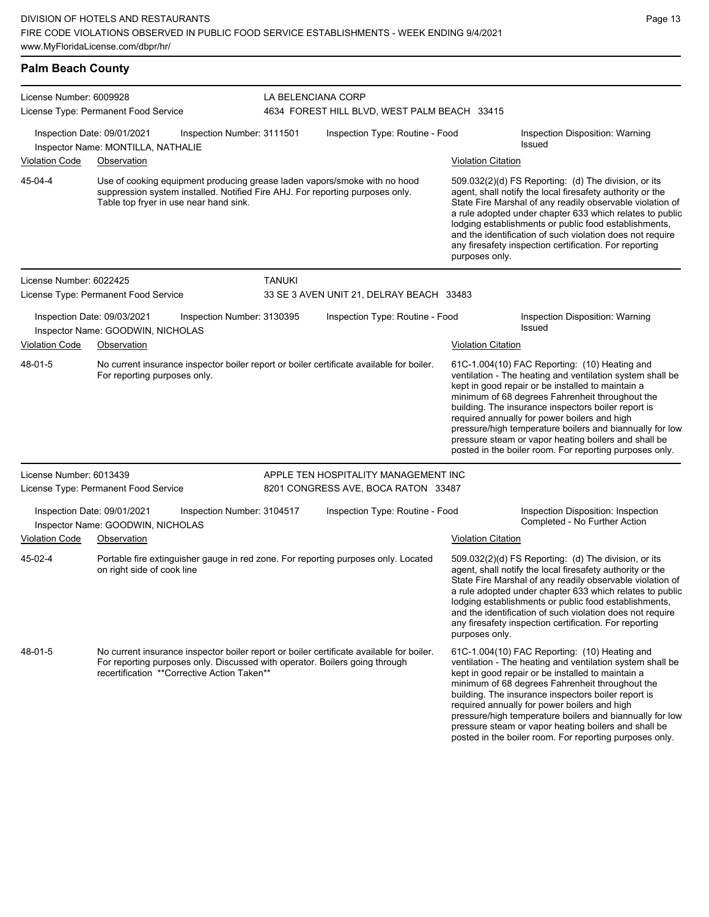## **Palm Beach County**

| License Number: 6009928 |                                                                                                                                                                                                      |                            | LA BELENCIANA CORP                                                                       |                           |                                                                                                                                                                                                                                                                                                                                                                                                                                                                                                          |  |  |  |
|-------------------------|------------------------------------------------------------------------------------------------------------------------------------------------------------------------------------------------------|----------------------------|------------------------------------------------------------------------------------------|---------------------------|----------------------------------------------------------------------------------------------------------------------------------------------------------------------------------------------------------------------------------------------------------------------------------------------------------------------------------------------------------------------------------------------------------------------------------------------------------------------------------------------------------|--|--|--|
|                         | License Type: Permanent Food Service                                                                                                                                                                 |                            | 4634 FOREST HILL BLVD, WEST PALM BEACH 33415                                             |                           |                                                                                                                                                                                                                                                                                                                                                                                                                                                                                                          |  |  |  |
|                         | Inspection Date: 09/01/2021<br>Inspector Name: MONTILLA, NATHALIE                                                                                                                                    | Inspection Number: 3111501 | Inspection Type: Routine - Food                                                          |                           | Inspection Disposition: Warning<br><b>Issued</b>                                                                                                                                                                                                                                                                                                                                                                                                                                                         |  |  |  |
| <b>Violation Code</b>   | Observation                                                                                                                                                                                          |                            |                                                                                          | <b>Violation Citation</b> |                                                                                                                                                                                                                                                                                                                                                                                                                                                                                                          |  |  |  |
| 45-04-4                 | Use of cooking equipment producing grease laden vapors/smoke with no hood<br>suppression system installed. Notified Fire AHJ. For reporting purposes only.<br>Table top fryer in use near hand sink. |                            |                                                                                          | purposes only.            | $509.032(2)(d)$ FS Reporting: (d) The division, or its<br>agent, shall notify the local firesafety authority or the<br>State Fire Marshal of any readily observable violation of<br>a rule adopted under chapter 633 which relates to public<br>lodging establishments or public food establishments,<br>and the identification of such violation does not require<br>any firesafety inspection certification. For reporting                                                                             |  |  |  |
| License Number: 6022425 |                                                                                                                                                                                                      | <b>TANUKI</b>              |                                                                                          |                           |                                                                                                                                                                                                                                                                                                                                                                                                                                                                                                          |  |  |  |
|                         | License Type: Permanent Food Service                                                                                                                                                                 |                            | 33 SE 3 AVEN UNIT 21, DELRAY BEACH 33483                                                 |                           |                                                                                                                                                                                                                                                                                                                                                                                                                                                                                                          |  |  |  |
|                         | Inspection Date: 09/03/2021<br>Inspector Name: GOODWIN, NICHOLAS                                                                                                                                     | Inspection Number: 3130395 | Inspection Type: Routine - Food                                                          |                           | Inspection Disposition: Warning<br><b>Issued</b>                                                                                                                                                                                                                                                                                                                                                                                                                                                         |  |  |  |
| <b>Violation Code</b>   | Observation                                                                                                                                                                                          |                            |                                                                                          | <b>Violation Citation</b> |                                                                                                                                                                                                                                                                                                                                                                                                                                                                                                          |  |  |  |
| 48-01-5                 | For reporting purposes only.                                                                                                                                                                         |                            | No current insurance inspector boiler report or boiler certificate available for boiler. |                           | 61C-1.004(10) FAC Reporting: (10) Heating and<br>ventilation - The heating and ventilation system shall be<br>kept in good repair or be installed to maintain a<br>minimum of 68 degrees Fahrenheit throughout the<br>building. The insurance inspectors boiler report is<br>required annually for power boilers and high<br>pressure/high temperature boilers and biannually for low<br>pressure steam or vapor heating boilers and shall be<br>posted in the boiler room. For reporting purposes only. |  |  |  |
| License Number: 6013439 |                                                                                                                                                                                                      |                            | APPLE TEN HOSPITALITY MANAGEMENT INC                                                     |                           |                                                                                                                                                                                                                                                                                                                                                                                                                                                                                                          |  |  |  |
|                         | License Type: Permanent Food Service                                                                                                                                                                 |                            | 8201 CONGRESS AVE, BOCA RATON 33487                                                      |                           |                                                                                                                                                                                                                                                                                                                                                                                                                                                                                                          |  |  |  |
|                         | Inspection Date: 09/01/2021<br>Inspector Name: GOODWIN, NICHOLAS                                                                                                                                     | Inspection Number: 3104517 | Inspection Type: Routine - Food                                                          |                           | Inspection Disposition: Inspection<br>Completed - No Further Action                                                                                                                                                                                                                                                                                                                                                                                                                                      |  |  |  |
| <b>Violation Code</b>   | Observation                                                                                                                                                                                          |                            |                                                                                          | <b>Violation Citation</b> |                                                                                                                                                                                                                                                                                                                                                                                                                                                                                                          |  |  |  |
| 45-02-4                 | on right side of cook line                                                                                                                                                                           |                            | Portable fire extinguisher gauge in red zone. For reporting purposes only. Located       | purposes only.            | 509.032(2)(d) FS Reporting: (d) The division, or its<br>agent, shall notify the local firesafety authority or the<br>State Fire Marshal of any readily observable violation of<br>a rule adopted under chapter 633 which relates to public<br>lodging establishments or public food establishments,<br>and the identification of such violation does not require<br>any firesafety inspection certification. For reporting                                                                               |  |  |  |
| 48-01-5                 | For reporting purposes only. Discussed with operator. Boilers going through<br>recertification ** Corrective Action Taken**                                                                          |                            | No current insurance inspector boiler report or boiler certificate available for boiler. |                           | 61C-1.004(10) FAC Reporting: (10) Heating and<br>ventilation - The heating and ventilation system shall be<br>kept in good repair or be installed to maintain a<br>minimum of 68 degrees Fahrenheit throughout the<br>building. The insurance inspectors boiler report is<br>required annually for power boilers and high<br>pressure/high temperature boilers and biannually for low<br>pressure steam or vapor heating boilers and shall be<br>posted in the boiler room. For reporting purposes only. |  |  |  |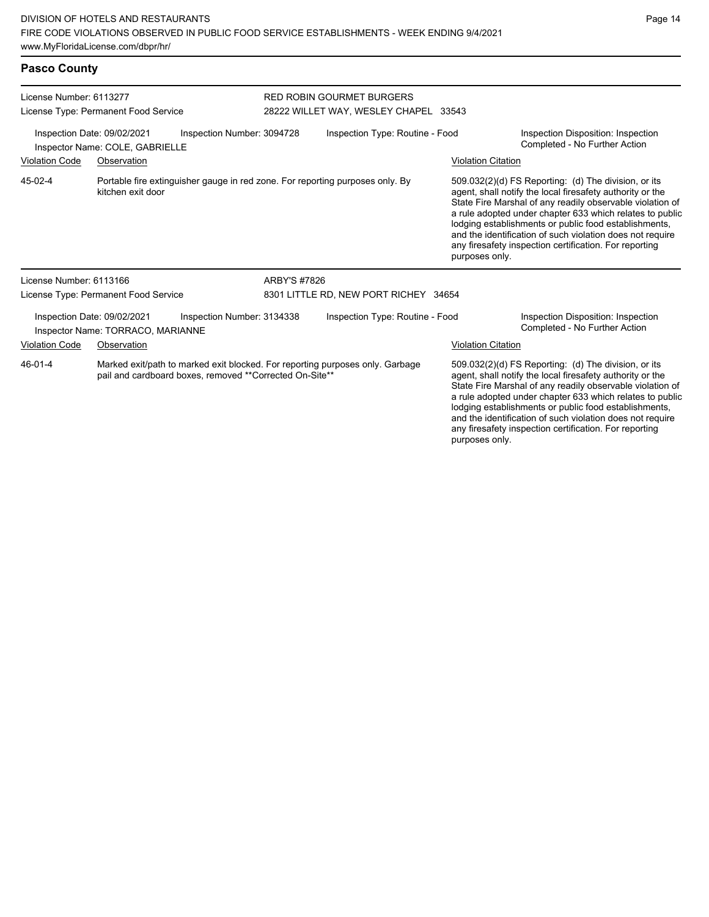| License Number: 6113277<br>License Type: Permanent Food Service |                                                                                                    |                                                         |                                       | RED ROBIN GOURMET BURGERS<br>28222 WILLET WAY, WESLEY CHAPEL 33543            |                           |                                                                                                                                                                                                                                                                                                                                                                                                                            |  |
|-----------------------------------------------------------------|----------------------------------------------------------------------------------------------------|---------------------------------------------------------|---------------------------------------|-------------------------------------------------------------------------------|---------------------------|----------------------------------------------------------------------------------------------------------------------------------------------------------------------------------------------------------------------------------------------------------------------------------------------------------------------------------------------------------------------------------------------------------------------------|--|
|                                                                 | Inspection Date: 09/02/2021<br>Inspector Name: COLE, GABRIELLE                                     | Inspection Number: 3094728                              |                                       | Inspection Type: Routine - Food                                               |                           | Inspection Disposition: Inspection<br>Completed - No Further Action                                                                                                                                                                                                                                                                                                                                                        |  |
| <b>Violation Code</b>                                           | Observation                                                                                        |                                                         |                                       |                                                                               | <b>Violation Citation</b> |                                                                                                                                                                                                                                                                                                                                                                                                                            |  |
| 45-02-4                                                         | Portable fire extinguisher gauge in red zone. For reporting purposes only. By<br>kitchen exit door |                                                         |                                       |                                                                               | purposes only.            | 509.032(2)(d) FS Reporting: (d) The division, or its<br>agent, shall notify the local firesafety authority or the<br>State Fire Marshal of any readily observable violation of<br>a rule adopted under chapter 633 which relates to public<br>lodging establishments or public food establishments,<br>and the identification of such violation does not require<br>any firesafety inspection certification. For reporting |  |
| License Number: 6113166                                         |                                                                                                    |                                                         | ARBY'S #7826                          |                                                                               |                           |                                                                                                                                                                                                                                                                                                                                                                                                                            |  |
|                                                                 | License Type: Permanent Food Service                                                               |                                                         | 8301 LITTLE RD, NEW PORT RICHEY 34654 |                                                                               |                           |                                                                                                                                                                                                                                                                                                                                                                                                                            |  |
|                                                                 | Inspection Date: 09/02/2021<br>Inspector Name: TORRACO, MARIANNE                                   | Inspection Number: 3134338                              |                                       | Inspection Type: Routine - Food                                               |                           | Inspection Disposition: Inspection<br>Completed - No Further Action                                                                                                                                                                                                                                                                                                                                                        |  |
| <b>Violation Code</b>                                           | Observation                                                                                        |                                                         |                                       |                                                                               | <b>Violation Citation</b> |                                                                                                                                                                                                                                                                                                                                                                                                                            |  |
| 46-01-4                                                         |                                                                                                    | pail and cardboard boxes, removed **Corrected On-Site** |                                       | Marked exit/path to marked exit blocked. For reporting purposes only. Garbage |                           | 509.032(2)(d) FS Reporting: (d) The division, or its<br>agent, shall notify the local firesafety authority or the<br>State Fire Marshal of any readily observable violation of<br>a rule adopted under chapter 633 which relates to public<br>lodging establishments or public food establishments,<br>and the identification of such violation does not require                                                           |  |

any firesafety inspection certification. For reporting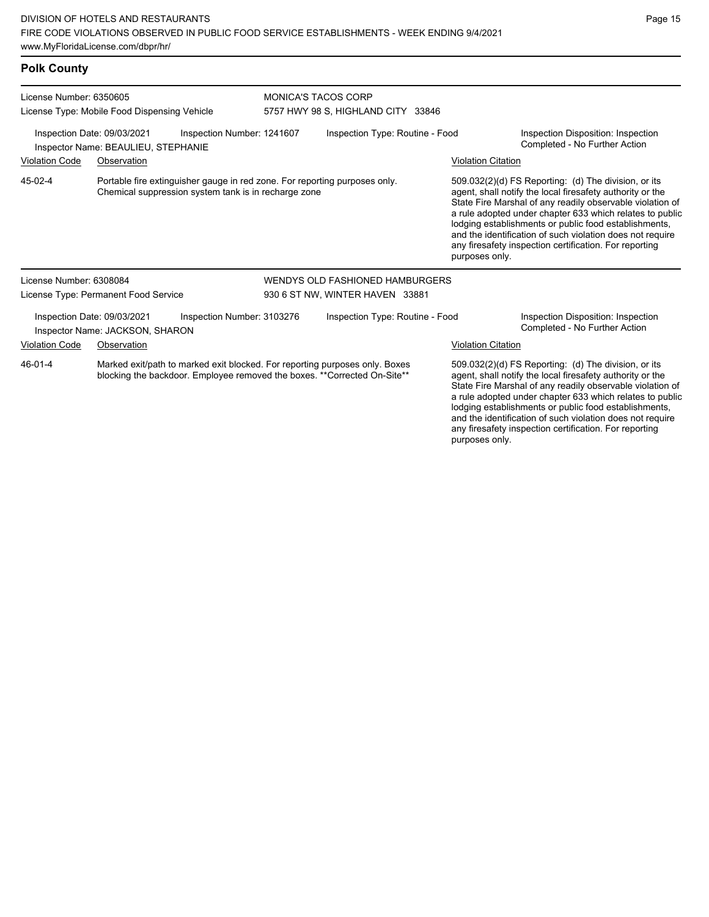| <b>Polk County</b>                                                                               |                                                                                                                                    |  |                                |                                                                                                                                                                                                                                |                    |                                                                                                                                                                                                                                                                                                                                                                                                                                                |  |  |
|--------------------------------------------------------------------------------------------------|------------------------------------------------------------------------------------------------------------------------------------|--|--------------------------------|--------------------------------------------------------------------------------------------------------------------------------------------------------------------------------------------------------------------------------|--------------------|------------------------------------------------------------------------------------------------------------------------------------------------------------------------------------------------------------------------------------------------------------------------------------------------------------------------------------------------------------------------------------------------------------------------------------------------|--|--|
| License Number: 6350605<br>License Type: Mobile Food Dispensing Vehicle                          |                                                                                                                                    |  |                                | <b>MONICA'S TACOS CORP</b><br>5757 HWY 98 S, HIGHLAND CITY 33846                                                                                                                                                               |                    |                                                                                                                                                                                                                                                                                                                                                                                                                                                |  |  |
| Inspection Number: 1241607<br>Inspection Date: 09/03/2021<br>Inspector Name: BEAULIEU, STEPHANIE |                                                                                                                                    |  |                                | Inspection Type: Routine - Food                                                                                                                                                                                                |                    | Inspection Disposition: Inspection<br>Completed - No Further Action                                                                                                                                                                                                                                                                                                                                                                            |  |  |
| <b>Violation Code</b>                                                                            | Observation                                                                                                                        |  |                                |                                                                                                                                                                                                                                | Violation Citation |                                                                                                                                                                                                                                                                                                                                                                                                                                                |  |  |
| 45-02-4                                                                                          | Portable fire extinguisher gauge in red zone. For reporting purposes only.<br>Chemical suppression system tank is in recharge zone |  |                                |                                                                                                                                                                                                                                |                    | $509.032(2)(d)$ FS Reporting: (d) The division, or its<br>agent, shall notify the local firesafety authority or the<br>State Fire Marshal of any readily observable violation of<br>a rule adopted under chapter 633 which relates to public<br>lodging establishments or public food establishments,<br>and the identification of such violation does not require<br>any firesafety inspection certification. For reporting<br>purposes only. |  |  |
| License Number: 6308084<br>License Type: Permanent Food Service                                  |                                                                                                                                    |  |                                | WENDYS OLD FASHIONED HAMBURGERS<br>930 6 ST NW, WINTER HAVEN 33881                                                                                                                                                             |                    |                                                                                                                                                                                                                                                                                                                                                                                                                                                |  |  |
|                                                                                                  |                                                                                                                                    |  | 1.1.1.1.1.1.1.1.1.1.1.0.400070 | state of the contract of the contract of the contract of the contract of the contract of the contract of the contract of the contract of the contract of the contract of the contract of the contract of the contract of the c |                    | the contract of the first state of the contract of the state of the state of the state of the state of the state of the state of the state of the state of the state of the state of the state of the state of the state of th                                                                                                                                                                                                                 |  |  |

Inspection Date: 09/03/2021 Inspection Number: 3103276 Inspection Type: Routine - Food Inspection Disposition: Inspection Inspector Name: JACKSON, SHARON Violation Code Observation Violation Citation

Marked exit/path to marked exit blocked. For reporting purposes only. Boxes blocking the backdoor. Employee removed the boxes. \*\*Corrected On-Site\*\* 46-01-4

509.032(2)(d) FS Reporting: (d) The division, or its agent, shall notify the local firesafety authority or the State Fire Marshal of any readily observable violation of a rule adopted under chapter 633 which relates to public lodging establishments or public food establishments, and the identification of such violation does not require any firesafety inspection certification. For reporting purposes only.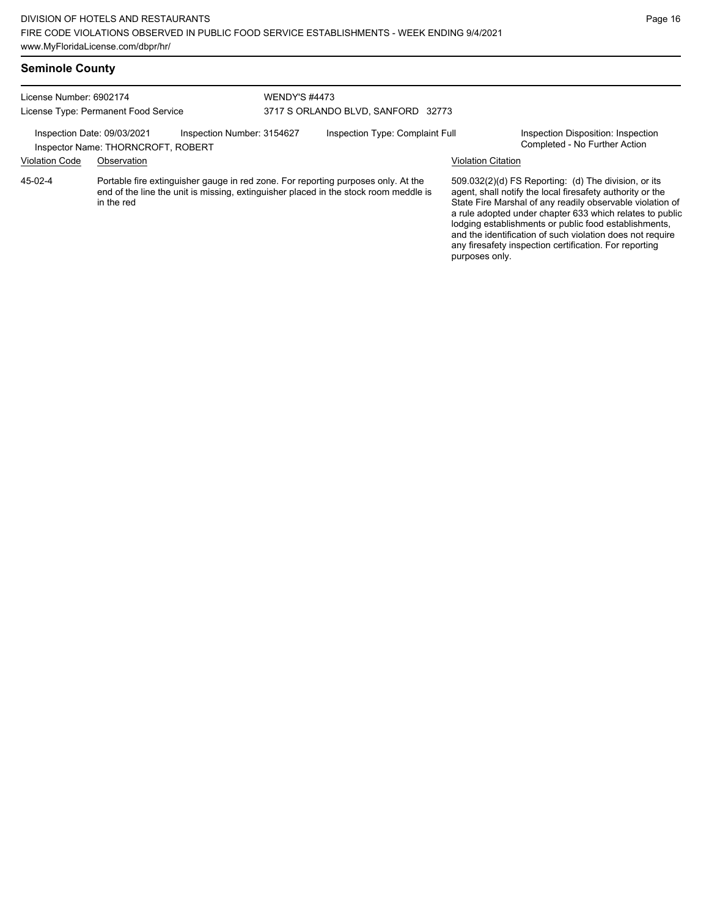| <b>Seminole County</b>                                                                                                                                             |                                                                                                                                                                                         |  |                      |                                    |                                                                                                                                                                                                                                                                                                                                                                                                                                              |  |  |
|--------------------------------------------------------------------------------------------------------------------------------------------------------------------|-----------------------------------------------------------------------------------------------------------------------------------------------------------------------------------------|--|----------------------|------------------------------------|----------------------------------------------------------------------------------------------------------------------------------------------------------------------------------------------------------------------------------------------------------------------------------------------------------------------------------------------------------------------------------------------------------------------------------------------|--|--|
| License Number: 6902174<br>License Type: Permanent Food Service<br>Inspection Date: 09/03/2021<br>Inspection Number: 3154627<br>Inspector Name: THORNCROFT, ROBERT |                                                                                                                                                                                         |  | <b>WENDY'S #4473</b> |                                    |                                                                                                                                                                                                                                                                                                                                                                                                                                              |  |  |
|                                                                                                                                                                    |                                                                                                                                                                                         |  |                      | 3717 S ORLANDO BLVD, SANFORD 32773 |                                                                                                                                                                                                                                                                                                                                                                                                                                              |  |  |
|                                                                                                                                                                    |                                                                                                                                                                                         |  |                      | Inspection Type: Complaint Full    | Inspection Disposition: Inspection<br>Completed - No Further Action                                                                                                                                                                                                                                                                                                                                                                          |  |  |
| <b>Violation Code</b>                                                                                                                                              | Observation                                                                                                                                                                             |  |                      |                                    | <b>Violation Citation</b>                                                                                                                                                                                                                                                                                                                                                                                                                    |  |  |
| 45-02-4                                                                                                                                                            | Portable fire extinguisher gauge in red zone. For reporting purposes only. At the<br>end of the line the unit is missing, extinguisher placed in the stock room meddle is<br>in the red |  |                      |                                    | 509.032(2)(d) FS Reporting: (d) The division, or its<br>agent, shall notify the local firesafety authority or the<br>State Fire Marshal of any readily observable violation of<br>a rule adopted under chapter 633 which relates to public<br>lodging establishments or public food establishments,<br>and the identification of such violation does not require<br>any firesafety inspection certification. For reporting<br>purposes only. |  |  |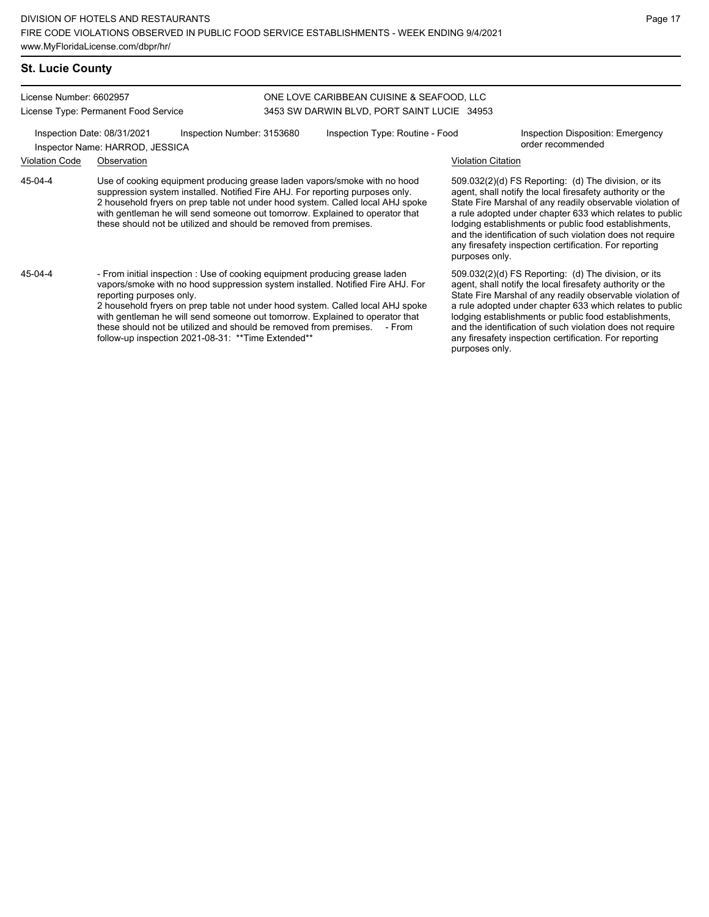# **St. Lucie County**

License Number: 6602957 License Type: Permanent Food Service

#### ONE LOVE CARIBBEAN CUISINE & SEAFOOD, LLC 3453 SW DARWIN BLVD, PORT SAINT LUCIE 34953

Inspection Date: 08/31/2021 Inspection Number: 3153680 Inspection Type: Routine - Food Inspection Disposition: Emergency order recommended Inspector Name: HARROD, JESSICA

## Violation Code Observation Violation Citation

Use of cooking equipment producing grease laden vapors/smoke with no hood suppression system installed. Notified Fire AHJ. For reporting purposes only. 2 household fryers on prep table not under hood system. Called local AHJ spoke with gentleman he will send someone out tomorrow. Explained to operator that these should not be utilized and should be removed from premises. 45-04-4

- From initial inspection : Use of cooking equipment producing grease laden vapors/smoke with no hood suppression system installed. Notified Fire AHJ. For reporting purposes only. 45-04-4

2 household fryers on prep table not under hood system. Called local AHJ spoke with gentleman he will send someone out tomorrow. Explained to operator that these should not be utilized and should be removed from premises. - From follow-up inspection 2021-08-31: \*\*Time Extended\*\*

509.032(2)(d) FS Reporting: (d) The division, or its agent, shall notify the local firesafety authority or the State Fire Marshal of any readily observable violation of a rule adopted under chapter 633 which relates to public lodging establishments or public food establishments, and the identification of such violation does not require any firesafety inspection certification. For reporting purposes only.

509.032(2)(d) FS Reporting: (d) The division, or its agent, shall notify the local firesafety authority or the State Fire Marshal of any readily observable violation of a rule adopted under chapter 633 which relates to public lodging establishments or public food establishments, and the identification of such violation does not require any firesafety inspection certification. For reporting purposes only.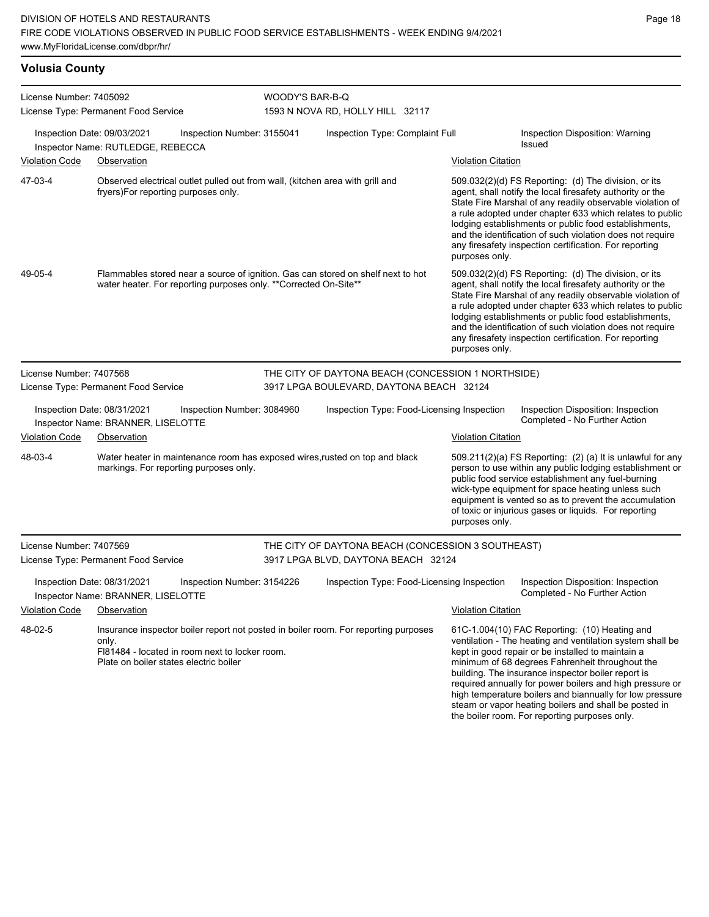## **Volusia County**

| License Number: 7405092<br>License Type: Permanent Food Service                                                                  |                                                                                                                                                       |                                                                                     | WOODY'S BAR-B-Q                            | 1593 N NOVA RD, HOLLY HILL 32117                   |                                                                                                                                                                                                                                                                                                                                                                                                                                                           |                                                                                                                                                                                                                                                                                                                                                                                                                            |  |  |
|----------------------------------------------------------------------------------------------------------------------------------|-------------------------------------------------------------------------------------------------------------------------------------------------------|-------------------------------------------------------------------------------------|--------------------------------------------|----------------------------------------------------|-----------------------------------------------------------------------------------------------------------------------------------------------------------------------------------------------------------------------------------------------------------------------------------------------------------------------------------------------------------------------------------------------------------------------------------------------------------|----------------------------------------------------------------------------------------------------------------------------------------------------------------------------------------------------------------------------------------------------------------------------------------------------------------------------------------------------------------------------------------------------------------------------|--|--|
|                                                                                                                                  | Inspection Date: 09/03/2021<br>Inspector Name: RUTLEDGE, REBECCA                                                                                      | Inspection Number: 3155041                                                          |                                            | Inspection Type: Complaint Full                    |                                                                                                                                                                                                                                                                                                                                                                                                                                                           | Inspection Disposition: Warning<br><b>Issued</b>                                                                                                                                                                                                                                                                                                                                                                           |  |  |
| <b>Violation Code</b>                                                                                                            | Observation                                                                                                                                           |                                                                                     |                                            |                                                    | <b>Violation Citation</b>                                                                                                                                                                                                                                                                                                                                                                                                                                 |                                                                                                                                                                                                                                                                                                                                                                                                                            |  |  |
| 47-03-4                                                                                                                          | Observed electrical outlet pulled out from wall, (kitchen area with grill and<br>fryers)For reporting purposes only.                                  |                                                                                     |                                            |                                                    | purposes only.                                                                                                                                                                                                                                                                                                                                                                                                                                            | 509.032(2)(d) FS Reporting: (d) The division, or its<br>agent, shall notify the local firesafety authority or the<br>State Fire Marshal of any readily observable violation of<br>a rule adopted under chapter 633 which relates to public<br>lodging establishments or public food establishments,<br>and the identification of such violation does not require<br>any firesafety inspection certification. For reporting |  |  |
| 49-05-4                                                                                                                          | Flammables stored near a source of ignition. Gas can stored on shelf next to hot<br>water heater. For reporting purposes only. ** Corrected On-Site** |                                                                                     |                                            |                                                    | purposes only.                                                                                                                                                                                                                                                                                                                                                                                                                                            | 509.032(2)(d) FS Reporting: (d) The division, or its<br>agent, shall notify the local firesafety authority or the<br>State Fire Marshal of any readily observable violation of<br>a rule adopted under chapter 633 which relates to public<br>lodging establishments or public food establishments,<br>and the identification of such violation does not require<br>any firesafety inspection certification. For reporting |  |  |
| License Number: 7407568                                                                                                          |                                                                                                                                                       |                                                                                     |                                            | THE CITY OF DAYTONA BEACH (CONCESSION 1 NORTHSIDE) |                                                                                                                                                                                                                                                                                                                                                                                                                                                           |                                                                                                                                                                                                                                                                                                                                                                                                                            |  |  |
|                                                                                                                                  | License Type: Permanent Food Service                                                                                                                  |                                                                                     |                                            | 3917 LPGA BOULEVARD, DAYTONA BEACH 32124           |                                                                                                                                                                                                                                                                                                                                                                                                                                                           |                                                                                                                                                                                                                                                                                                                                                                                                                            |  |  |
|                                                                                                                                  | Inspection Date: 08/31/2021<br>Inspector Name: BRANNER, LISELOTTE                                                                                     | Inspection Number: 3084960                                                          |                                            | Inspection Type: Food-Licensing Inspection         |                                                                                                                                                                                                                                                                                                                                                                                                                                                           | Inspection Disposition: Inspection<br>Completed - No Further Action                                                                                                                                                                                                                                                                                                                                                        |  |  |
| <b>Violation Code</b>                                                                                                            | Observation                                                                                                                                           |                                                                                     |                                            |                                                    | <b>Violation Citation</b>                                                                                                                                                                                                                                                                                                                                                                                                                                 |                                                                                                                                                                                                                                                                                                                                                                                                                            |  |  |
| 48-03-4<br>Water heater in maintenance room has exposed wires, rusted on top and black<br>markings. For reporting purposes only. |                                                                                                                                                       |                                                                                     |                                            |                                                    | purposes only.                                                                                                                                                                                                                                                                                                                                                                                                                                            | 509.211(2)(a) FS Reporting: (2) (a) It is unlawful for any<br>person to use within any public lodging establishment or<br>public food service establishment any fuel-burning<br>wick-type equipment for space heating unless such<br>equipment is vented so as to prevent the accumulation<br>of toxic or injurious gases or liquids. For reporting                                                                        |  |  |
| License Number: 7407569                                                                                                          |                                                                                                                                                       |                                                                                     |                                            | THE CITY OF DAYTONA BEACH (CONCESSION 3 SOUTHEAST) |                                                                                                                                                                                                                                                                                                                                                                                                                                                           |                                                                                                                                                                                                                                                                                                                                                                                                                            |  |  |
| License Type: Permanent Food Service                                                                                             |                                                                                                                                                       | 3917 LPGA BLVD, DAYTONA BEACH 32124                                                 |                                            |                                                    |                                                                                                                                                                                                                                                                                                                                                                                                                                                           |                                                                                                                                                                                                                                                                                                                                                                                                                            |  |  |
| Inspection Date: 08/31/2021<br>Inspection Number: 3154226<br>Inspector Name: BRANNER, LISELOTTE                                  |                                                                                                                                                       |                                                                                     | Inspection Type: Food-Licensing Inspection |                                                    |                                                                                                                                                                                                                                                                                                                                                                                                                                                           | Inspection Disposition: Inspection<br>Completed - No Further Action                                                                                                                                                                                                                                                                                                                                                        |  |  |
| Violation Code                                                                                                                   | <b>Observation</b>                                                                                                                                    |                                                                                     |                                            |                                                    | <b>Violation Citation</b>                                                                                                                                                                                                                                                                                                                                                                                                                                 |                                                                                                                                                                                                                                                                                                                                                                                                                            |  |  |
| 48-02-5<br>only.<br>FI81484 - located in room next to locker room.<br>Plate on boiler states electric boiler                     |                                                                                                                                                       | Insurance inspector boiler report not posted in boiler room. For reporting purposes |                                            |                                                    | 61C-1.004(10) FAC Reporting: (10) Heating and<br>ventilation - The heating and ventilation system shall be<br>kept in good repair or be installed to maintain a<br>minimum of 68 degrees Fahrenheit throughout the<br>building. The insurance inspector boiler report is<br>required annually for power boilers and high pressure or<br>high temperature boilers and biannually for low pressure<br>steam or vapor heating boilers and shall be posted in |                                                                                                                                                                                                                                                                                                                                                                                                                            |  |  |

the boiler room. For reporting purposes only.